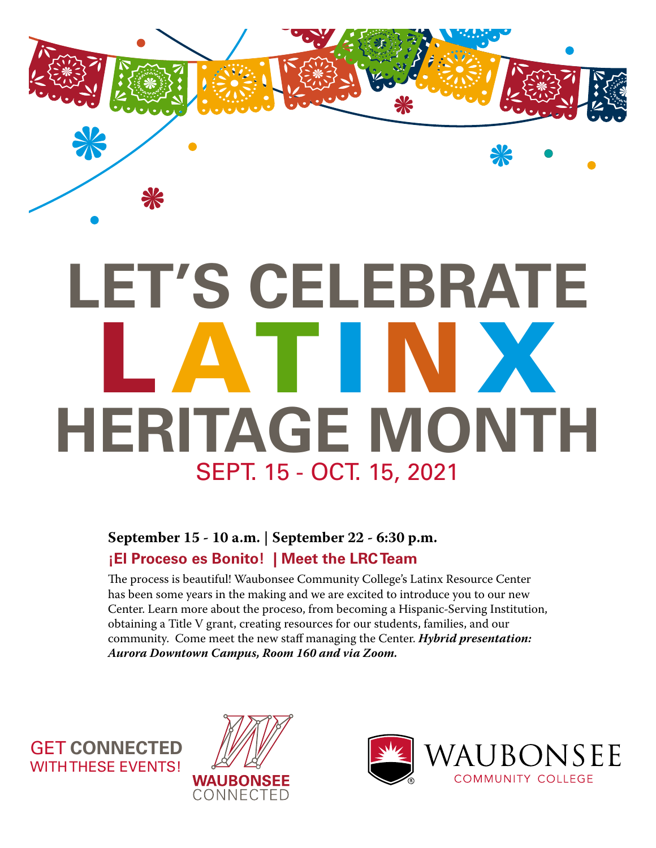

# **LET'S CELEBRATE** L ATI N X **[HERITAGE MONTH](http://calendar.waubonsee.edu/latinx)** SEPT. 15 - OCT. 15, 2021

### **September 15 - 10 a.m. | September 22 - 6:30 p.m. ¡El Proceso es Bonito! | Meet the LRC Team**

The process is beautiful! Waubonsee Community College's Latinx Resource Center has been some years in the making and we are excited to introduce you to our new [Center. Learn more about the proceso, from becoming a Hispanic-Serving Institution,](https://waubonsee.zoom.us/j/96120630984?pwd=VnV1MWZ0VUhMMXZEeTlLbStaMHVuUT09 )  obtaining a Title V grant, creating resources for our students, families, and our community. Come meet the new staff managing the Center. *Hybrid presentation: Aurora Downtown Campus, Room 160 and via Zoom.*

GET **CONNECTED** WITH THESE EVENTS!